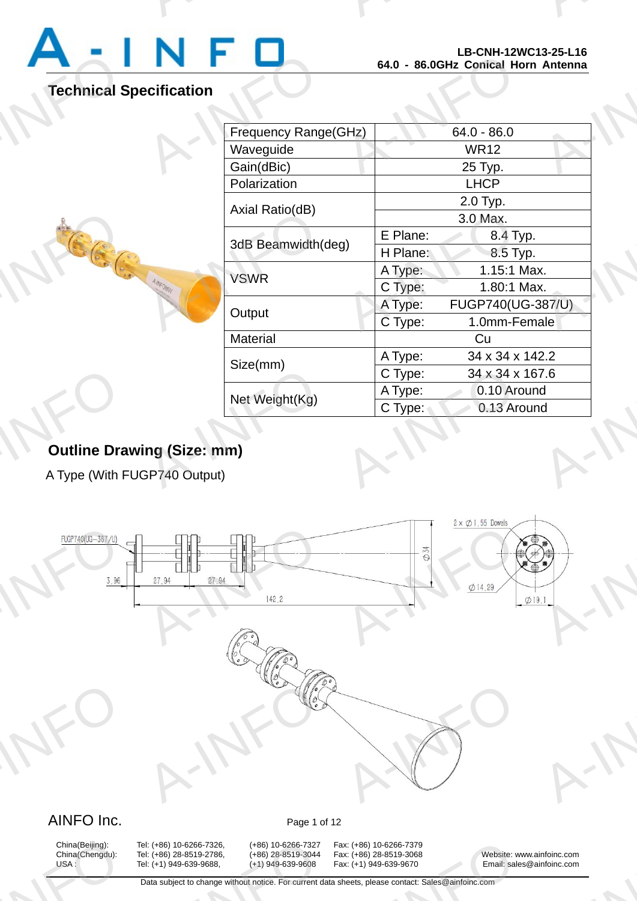

A-INFO

A-INFORMATION CONTINUES.

# **Technical Specification**

A-INFO

| ecification<br>Frequency Range(GHz) |                   |
|-------------------------------------|-------------------|
|                                     |                   |
|                                     |                   |
|                                     | $64.0 - 86.0$     |
| Waveguide                           | <b>WR12</b>       |
| Gain(dBic)                          | 25 Typ.           |
| Polarization                        | <b>LHCP</b>       |
| Axial Ratio(dB)                     | 2.0 Typ.          |
|                                     | 3.0 Max.          |
| E Plane:<br>3dB Beamwidth(deg)      | 8.4 Typ.          |
| H Plane:                            | 8.5 Typ.          |
| A Type:<br><b>VSWR</b>              | 1.15:1 Max.       |
| <b>HAVEOMAN</b><br>C Type:          | 1.80:1 Max.       |
| A Type:<br>Output                   | FUGP740(UG-387/U) |
| C Type:                             | 1.0mm-Female      |
| Material                            | Cu                |
| A Type:<br>Size(mm)                 | 34 x 34 x 142.2   |
| C Type:                             | 34 x 34 x 167.6   |
| A Type:<br>Net Weight(Kg)           | 0.10 Around       |
| C Type:                             | 0.13 Around       |

# **Outline Drawing (Size: mm)** Outline Dra<br>A Type (With F

A Type (With FUGP740 Output)



# China(Beijing):<br>China(Chengdu):<br>USA :

China(Beijing): Tel: (+86) 10-6266-7326, (+86) 10-6266-7327 Fax: (+86) 10-6266-7379<br>China(Chengdu): Tel: (+86) 28-8519-2786, (+86) 28-8519-3044 Fax: (+86) 28-8519-3068 A: (+86) 10-6266-7326, (+86) 10-6266-7327<br>A: (+86) 28-8519-2786, (+86) 28-8519-3044<br>A: (+1) 949-639-9688, (+1) 949-639-9608<br>Data subject to change without notice. For current d

x: (+86) 10-6266-7379<br>x: (+86) 28-8519-3068<br>x: (+1) 949-639-9670 Email: sale<br>heets, please contact: Sales@ainfoinc.com

China(Chengdu): Tel: (+86) 28-8519-2786, (+86) 28-8519-3044 Fax: (+86) 28-8519-3068 Website: www.ainfoinc.com USA : Tel: (+1) 949-639-9688, (+1) 949-639-9608 Fax: (+1) 949-639-9670 Email: sales@ainfoinc.com infoinc.com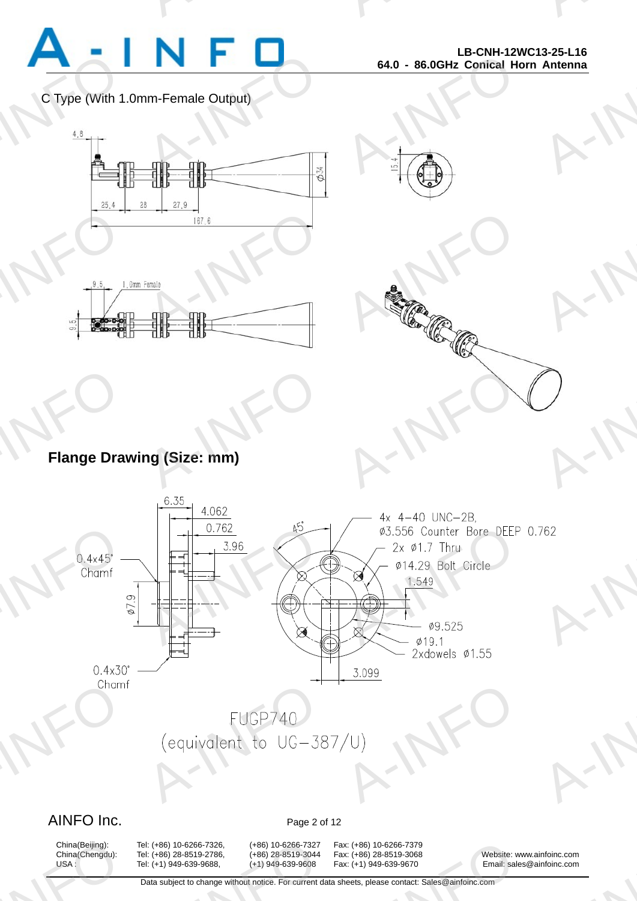

A-INFO

A-INFORMATION CONTINUES.

C Type (With 1.0mm-Female Output)



A-INFORMATION CONTINUES.





# **Flange Drawing (Size: mm)** Flange Dra

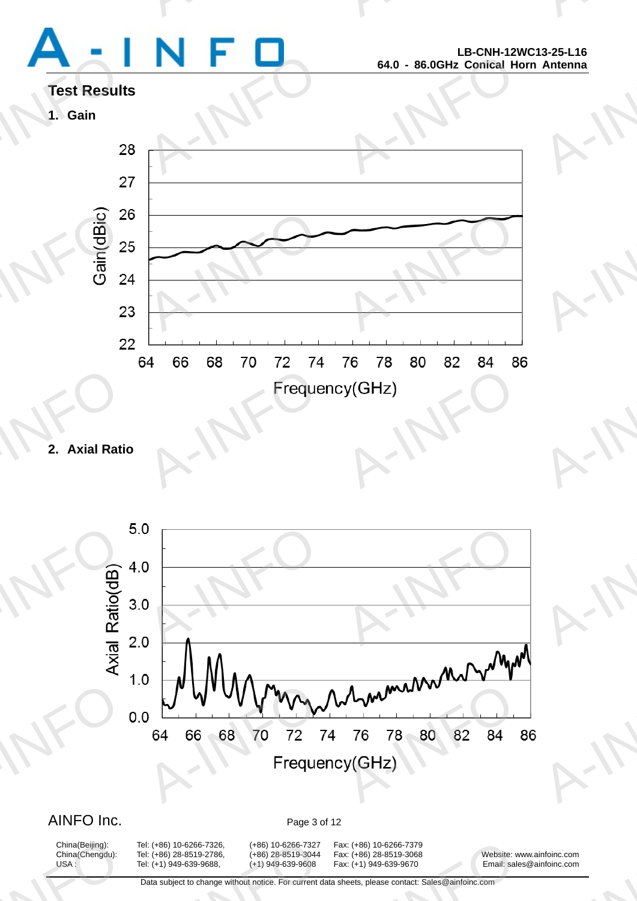# Test Result<br>1. Gain<br>2

A-INFORMATION CONTINUES.

A-INFO

A-INFO

A-INFO

A-INFORMATION CONTINUES.

# **Test Results**





**2. Axial Ratio** 



# AINFO Inc. Page 3 of 12

China(Beijing):<br>China(Chengdu):<br>USA :

A: (+86) 10-6266-7326, (+86) 10-6266-7327<br>A: (+86) 28-8519-2786, (+86) 28-8519-3044<br>A: (+1) 949-639-9688, (+1) 949-639-9608<br>Data subject to change without notice. For current d

China(Beijing): Tel: (+86) 10-6266-7326, (+86) 10-6266-7327 Fax: (+86) 10-6266-7379 x: (+86) 10-6266-7379<br>x: (+86) 28-8519-3068<br>x: (+1) 949-639-9670 Email: sale<br>heets, please contact: Sales@ainfoinc.com

China(Chengdu): Tel: (+86) 28-8519-2786, (+86) 28-8519-3044 Fax: (+86) 28-8519-3068 Website: www.ainfoinc.com USA : Tel: (+1) 949-639-9688, (+1) 949-639-9608 Fax: (+1) 949-639-9670 Email: sales@ainfoinc.com infoinc.com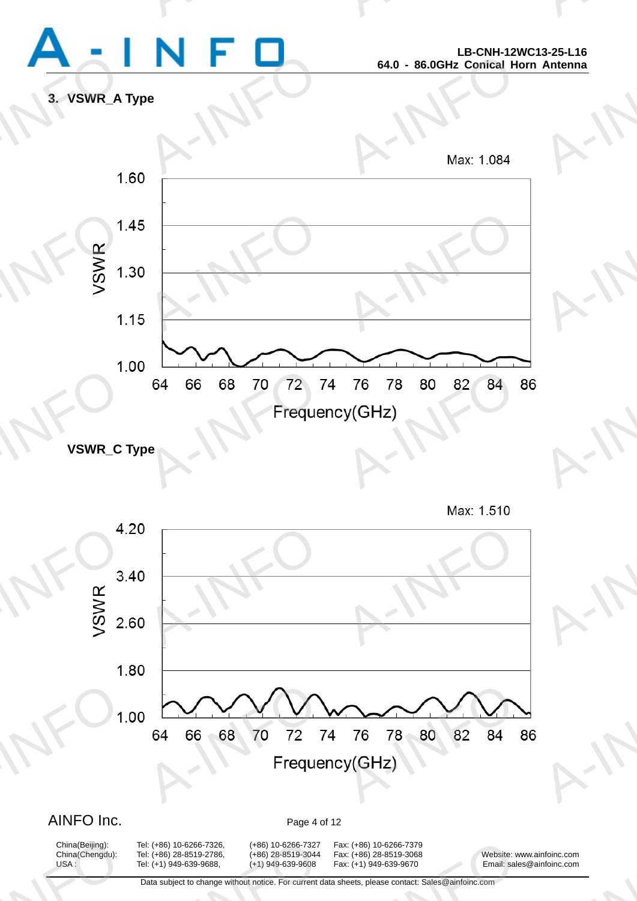

A-INFO

A-INFORMATION CONTINUES.

**3. VSWR\_A Type** 



**VSWR\_C Type** 





# AINFO Inc. Page 4 of 12

China(Beijing):<br>China(Chengdu):<br>USA :

A: (+86) 10-6266-7326, (+86) 10-6266-7327<br>A: (+86) 28-8519-2786, (+86) 28-8519-3044<br>A: (+1) 949-639-9688, (+1) 949-639-9608<br>Data subject to change without notice. For current d

China(Beijing): Tel: (+86) 10-6266-7326, (+86) 10-6266-7327 Fax: (+86) 10-6266-7379 China(Chengdu): Tel: (+86) 28-8519-2786, (+86) 28-8519-3044 Fax: (+86) 28-8519-3068 Website: www.ainfoinc.com USA : Tel: (+1) 949-639-9688, (+1) 949-639-9608 Fax: (+1) 949-639-9670 Email: sales@ainfoinc.com x: (+86) 10-6266-7379<br>x: (+86) 28-8519-3068<br>x: (+1) 949-639-9670 Email: sale<br>heets, please contact: Sales@ainfoinc.com

infoinc.com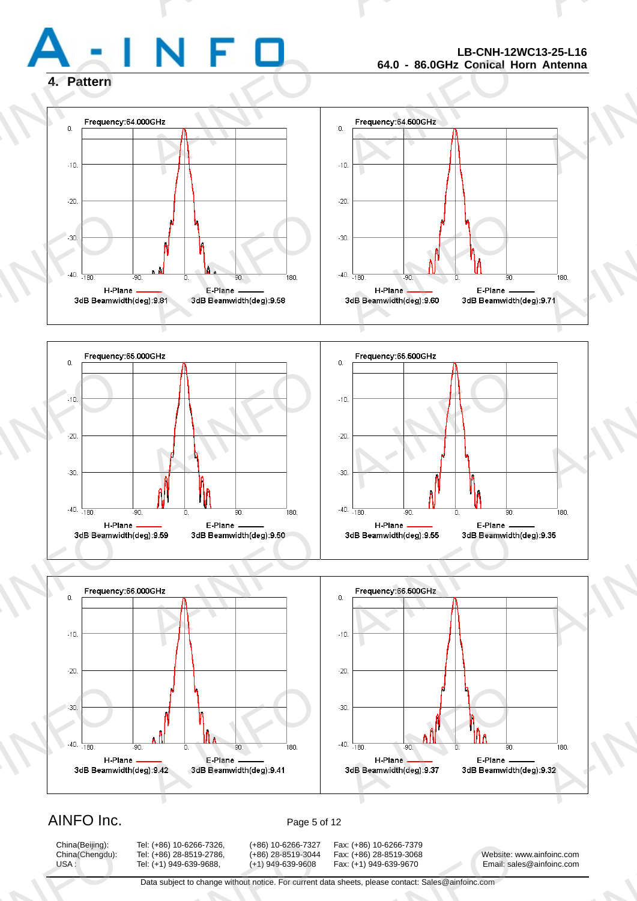

# **LB-CNH-12WC13-25-L16 64.0 - 86.0GHz Conical Horn Antenna**

A-INFO

A-INFORMATION CONTINUES.

# **4. Pattern**







# AINFO Inc. Page 5 of 12

China(Beijing):<br>China(Chengdu):<br>USA :

China(Beijing): Tel: (+86) 10-6266-7326, (+86) 10-6266-7327 Fax: (+86) 10-6266-7379 A: (+86) 10-6266-7326, (+86) 10-6266-7327<br>A: (+86) 28-8519-2786, (+86) 28-8519-3044<br>A: (+1) 949-639-9688, (+1) 949-639-9608<br>Data subject to change without notice. For current d

x: (+86) 10-6266-7379<br>x: (+86) 28-8519-3068<br>x: (+1) 949-639-9670 Email: sale<br>heets, please contact: Sales@ainfoinc.com

China(Chengdu): Tel: (+86) 28-8519-2786, (+86) 28-8519-3044 Fax: (+86) 28-8519-3068 Website: www.ainfoinc.com USA : Tel: (+1) 949-639-9688, (+1) 949-639-9608 Fax: (+1) 949-639-9670 Email: sales@ainfoinc.com infoinc.com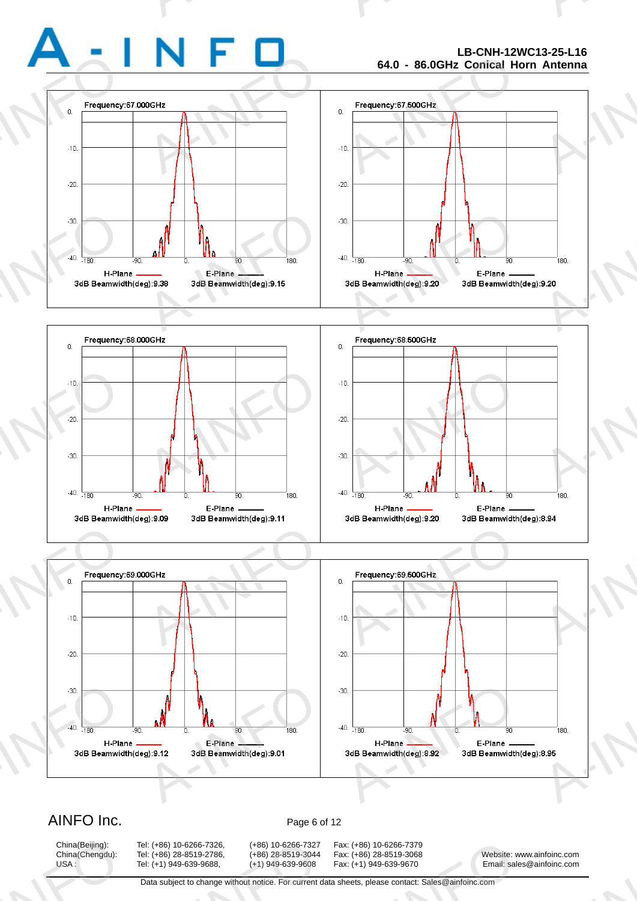-90

H-Plane

90

E-Plane

,<br>180.

 $-180$ 

H-Plane

A-INFORMATION CONTINUES.

# **LB-CNH-12WC13-25-L16 64.0 - 86.0GHz Conical Horn Antenna**

A-INFO

A-INFORMATION CONTINUES.





# AINFO Inc. Page 6 of 12

China(Beijing):<br>China(Chengdu):<br>USA :

China(Beijing): Tel: (+86) 10-6266-7326, (+86) 10-6266-7327 Fax: (+86) 10-6266-7379 A: (+86) 10-6266-7326, (+86) 10-6266-7327<br>A: (+86) 28-8519-2786, (+86) 28-8519-3044<br>A: (+1) 949-639-9688, (+1) 949-639-9608<br>Data subject to change without notice. For current d

x: (+86) 10-6266-7379<br>x: (+86) 28-8519-3068<br>x: (+1) 949-639-9670 Email: sale<br>heets, please contact: Sales@ainfoinc.com

China(Chengdu): Tel: (+86) 28-8519-2786, (+86) 28-8519-3044 Fax: (+86) 28-8519-3068 Website: www.ainfoinc.com USA : Tel: (+1) 949-639-9688, (+1) 949-639-9608 Fax: (+1) 949-639-9670 Email: sales@ainfoinc.com infoinc.com

180.

E-Plane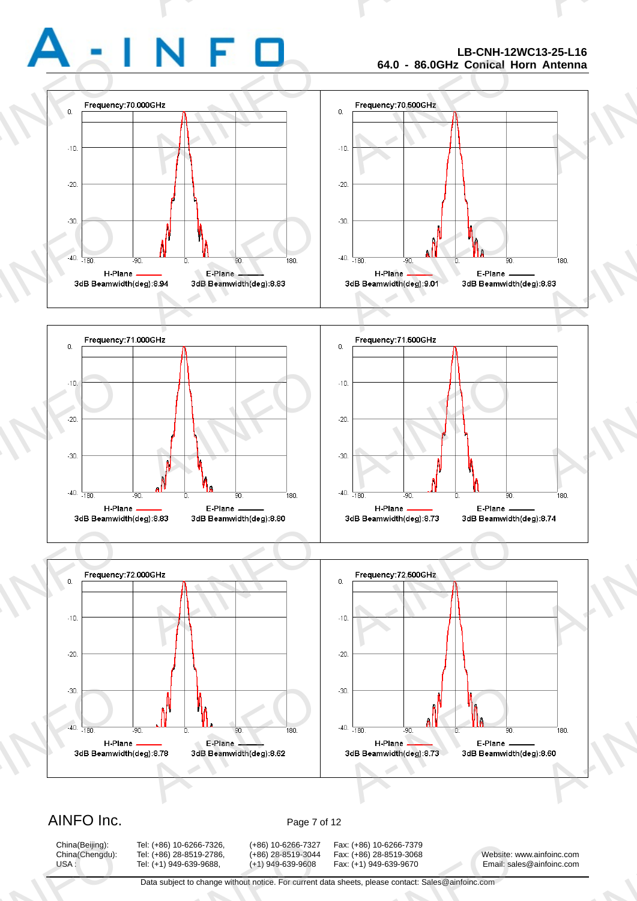# **LB-CNH-12WC13-25-L16 64.0 - 86.0GHz Conical Horn Antenna**

A-INFO

A-INFORMATION CONTINUES.







# AINFO Inc. Page 7 of 12

China(Beijing):<br>China(Chengdu):<br>USA :

China(Beijing): Tel: (+86) 10-6266-7326, (+86) 10-6266-7327 Fax: (+86) 10-6266-7379 A: (+86) 10-6266-7326, (+86) 10-6266-7327<br>A: (+86) 28-8519-2786, (+86) 28-8519-3044<br>A: (+1) 949-639-9688, (+1) 949-639-9608<br>Data subject to change without notice. For current d

x: (+86) 10-6266-7379<br>x: (+86) 28-8519-3068<br>x: (+1) 949-639-9670 Email: sale<br>heets, please contact: Sales@ainfoinc.com

China(Chengdu): Tel: (+86) 28-8519-2786, (+86) 28-8519-3044 Fax: (+86) 28-8519-3068 Website: www.ainfoinc.com USA : Tel: (+1) 949-639-9688, (+1) 949-639-9608 Fax: (+1) 949-639-9670 Email: sales@ainfoinc.com infoinc.com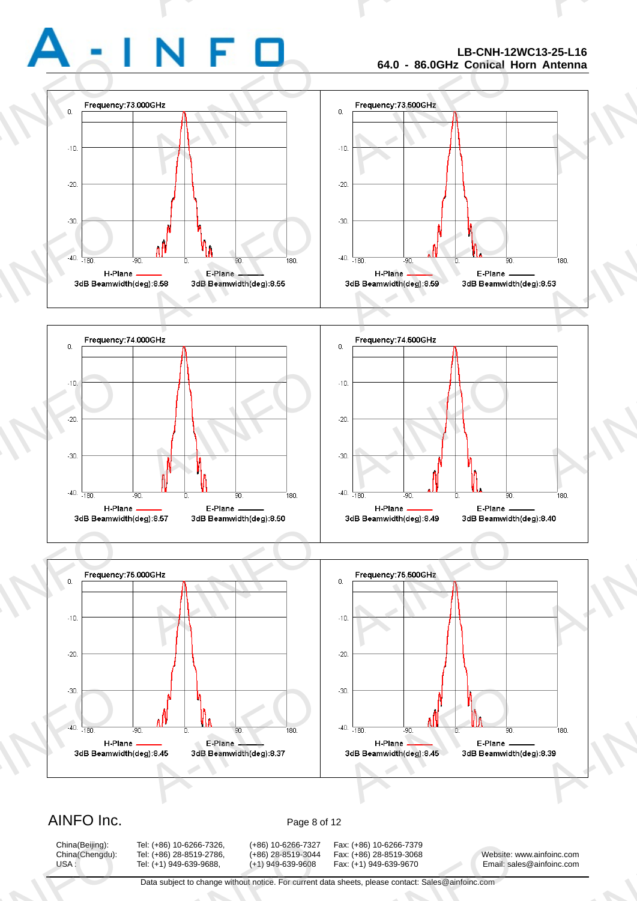# **LB-CNH-12WC13-25-L16 64.0 - 86.0GHz Conical Horn Antenna**

A-INFO

A-INFORMATION CONTINUES.







# AINFO Inc. Page 8 of 12

China(Beijing):<br>China(Chengdu):<br>USA :

China(Beijing): Tel: (+86) 10-6266-7326, (+86) 10-6266-7327 Fax: (+86) 10-6266-7379 A: (+86) 10-6266-7326, (+86) 10-6266-7327<br>A: (+86) 28-8519-2786, (+86) 28-8519-3044<br>A: (+1) 949-639-9688, (+1) 949-639-9608<br>Data subject to change without notice. For current d

x: (+86) 10-6266-7379<br>x: (+86) 28-8519-3068<br>x: (+1) 949-639-9670 Email: sale<br>heets, please contact: Sales@ainfoinc.com

China(Chengdu): Tel: (+86) 28-8519-2786, (+86) 28-8519-3044 Fax: (+86) 28-8519-3068 Website: www.ainfoinc.com USA : Tel: (+1) 949-639-9688, (+1) 949-639-9608 Fax: (+1) 949-639-9670 Email: sales@ainfoinc.com infoinc.com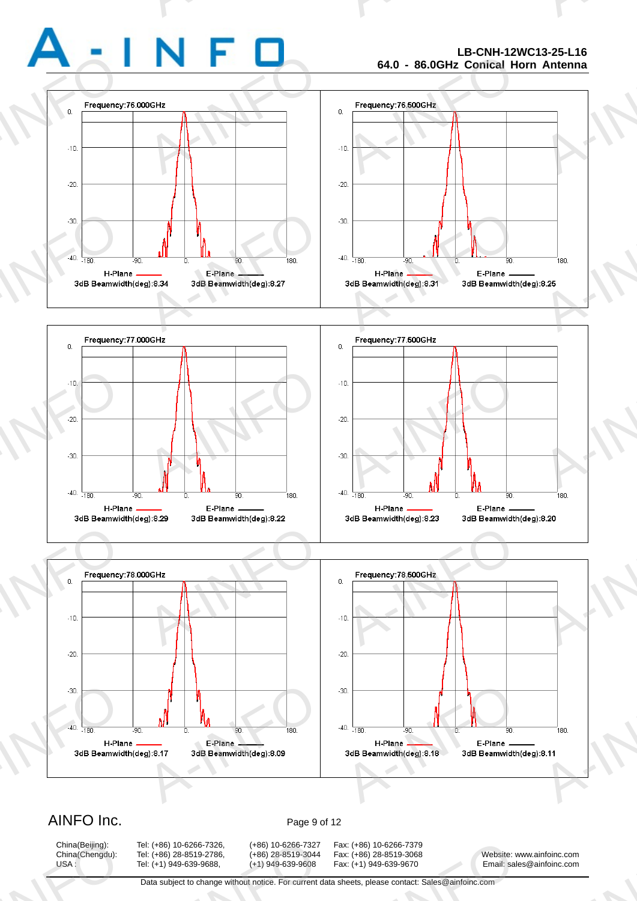# **LB-CNH-12WC13-25-L16 64.0 - 86.0GHz Conical Horn Antenna**

A-INFO

A-INFORMATION CONTINUES.







# AINFO Inc. Page 9 of 12

China(Beijing):<br>China(Chengdu):<br>USA :

China(Beijing): Tel: (+86) 10-6266-7326, (+86) 10-6266-7327 Fax: (+86) 10-6266-7379 A: (+86) 10-6266-7326, (+86) 10-6266-7327<br>A: (+86) 28-8519-2786, (+86) 28-8519-3044<br>A: (+1) 949-639-9688, (+1) 949-639-9608<br>Data subject to change without notice. For current d

x: (+86) 10-6266-7379<br>x: (+86) 28-8519-3068<br>x: (+1) 949-639-9670 Email: sale<br>heets, please contact: Sales@ainfoinc.com

China(Chengdu): Tel: (+86) 28-8519-2786, (+86) 28-8519-3044 Fax: (+86) 28-8519-3068 Website: www.ainfoinc.com USA : Tel: (+1) 949-639-9688, (+1) 949-639-9608 Fax: (+1) 949-639-9670 Email: sales@ainfoinc.com infoinc.com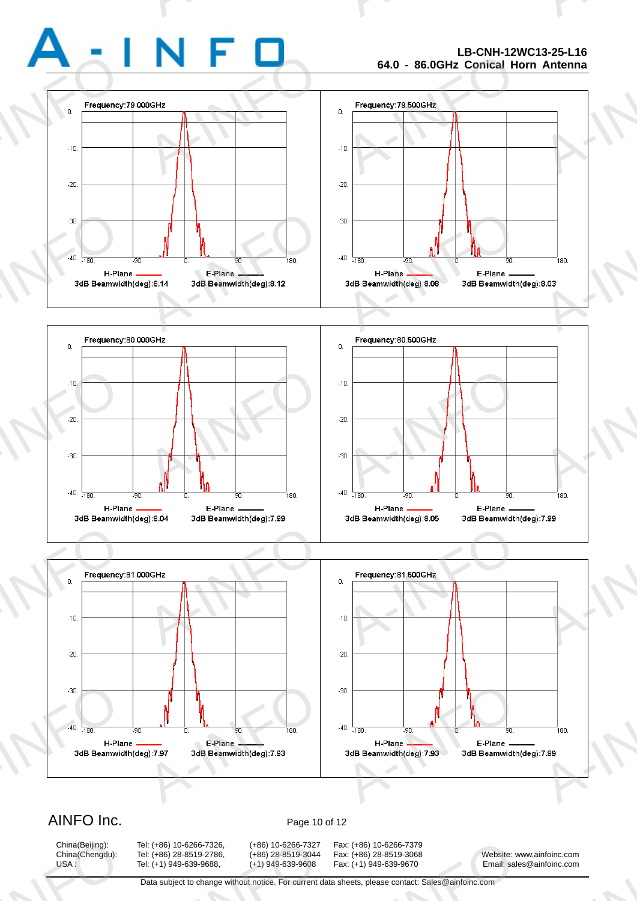# **LB-CNH-12WC13-25-L16 64.0 - 86.0GHz Conical Horn Antenna**

A-INFO

A-INFORMATION CONTINUES.







# AINFO Inc. Page 10 of 12

China(Beijing):<br>China(Chengdu):<br>USA :

China(Beijing): Tel: (+86) 10-6266-7326, (+86) 10-6266-7327 Fax: (+86) 10-6266-7379 A: (+86) 10-6266-7326, (+86) 10-6266-7327<br>A: (+86) 28-8519-2786, (+86) 28-8519-3044<br>A: (+1) 949-639-9688, (+1) 949-639-9608<br>Data subject to change without notice. For current d

x: (+86) 10-6266-7379<br>x: (+86) 28-8519-3068<br>x: (+1) 949-639-9670 Email: sale<br>heets, please contact: Sales@ainfoinc.com

China(Chengdu): Tel: (+86) 28-8519-2786, (+86) 28-8519-3044 Fax: (+86) 28-8519-3068 Website: www.ainfoinc.com USA : Tel: (+1) 949-639-9688, (+1) 949-639-9608 Fax: (+1) 949-639-9670 Email: sales@ainfoinc.com infoinc.com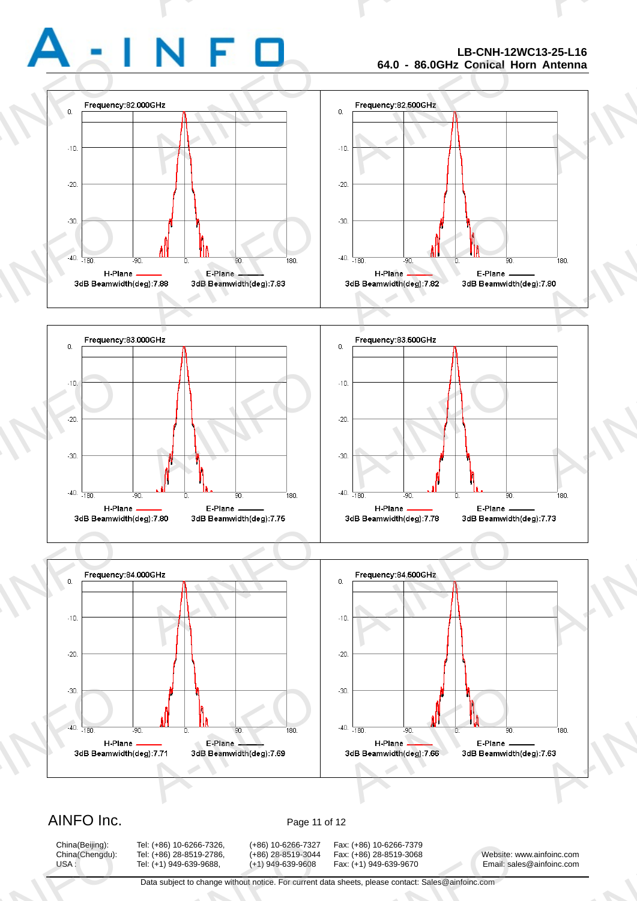# **LB-CNH-12WC13-25-L16 64.0 - 86.0GHz Conical Horn Antenna**

A-INFO

A-INFORMATION CONTINUES.







# AINFO Inc. Page 11 of 12

China(Beijing):<br>China(Chengdu):<br>USA :

China(Beijing): Tel: (+86) 10-6266-7326, (+86) 10-6266-7327 Fax: (+86) 10-6266-7379 A: (+86) 10-6266-7326, (+86) 10-6266-7327<br>A: (+86) 28-8519-2786, (+86) 28-8519-3044<br>A: (+1) 949-639-9688, (+1) 949-639-9608<br>Data subject to change without notice. For current d

x: (+86) 10-6266-7379<br>x: (+86) 28-8519-3068<br>x: (+1) 949-639-9670 Email: sale<br>heets, please contact: Sales@ainfoinc.com

China(Chengdu): Tel: (+86) 28-8519-2786, (+86) 28-8519-3044 Fax: (+86) 28-8519-3068 Website: www.ainfoinc.com USA : Tel: (+1) 949-639-9688, (+1) 949-639-9608 Fax: (+1) 949-639-9670 Email: sales@ainfoinc.com infoinc.com